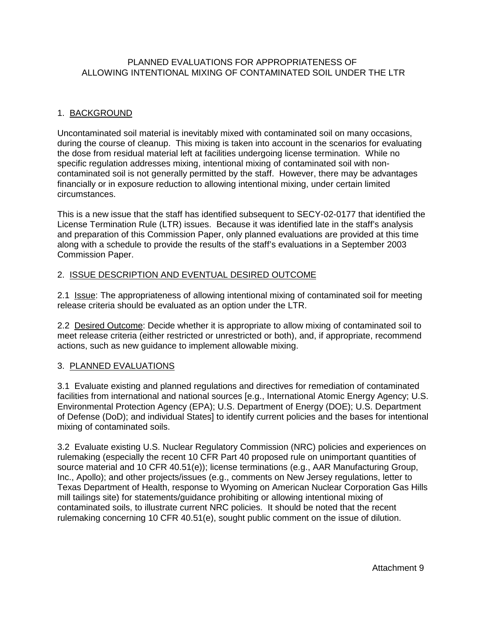## PLANNED EVALUATIONS FOR APPROPRIATENESS OF ALLOWING INTENTIONAL MIXING OF CONTAMINATED SOIL UNDER THE LTR

## 1. BACKGROUND

Uncontaminated soil material is inevitably mixed with contaminated soil on many occasions, during the course of cleanup. This mixing is taken into account in the scenarios for evaluating the dose from residual material left at facilities undergoing license termination. While no specific regulation addresses mixing, intentional mixing of contaminated soil with noncontaminated soil is not generally permitted by the staff. However, there may be advantages financially or in exposure reduction to allowing intentional mixing, under certain limited circumstances.

This is a new issue that the staff has identified subsequent to SECY-02-0177 that identified the License Termination Rule (LTR) issues. Because it was identified late in the staff's analysis and preparation of this Commission Paper, only planned evaluations are provided at this time along with a schedule to provide the results of the staff's evaluations in a September 2003 Commission Paper.

## 2. ISSUE DESCRIPTION AND EVENTUAL DESIRED OUTCOME

2.1 Issue: The appropriateness of allowing intentional mixing of contaminated soil for meeting release criteria should be evaluated as an option under the LTR.

2.2 Desired Outcome: Decide whether it is appropriate to allow mixing of contaminated soil to meet release criteria (either restricted or unrestricted or both), and, if appropriate, recommend actions, such as new guidance to implement allowable mixing.

## 3. PLANNED EVALUATIONS

3.1 Evaluate existing and planned regulations and directives for remediation of contaminated facilities from international and national sources [e.g., International Atomic Energy Agency; U.S. Environmental Protection Agency (EPA); U.S. Department of Energy (DOE); U.S. Department of Defense (DoD); and individual States] to identify current policies and the bases for intentional mixing of contaminated soils.

3.2 Evaluate existing U.S. Nuclear Regulatory Commission (NRC) policies and experiences on rulemaking (especially the recent 10 CFR Part 40 proposed rule on unimportant quantities of source material and 10 CFR 40.51(e)); license terminations (e.g., AAR Manufacturing Group, Inc., Apollo); and other projects/issues (e.g., comments on New Jersey regulations, letter to Texas Department of Health, response to Wyoming on American Nuclear Corporation Gas Hills mill tailings site) for statements/guidance prohibiting or allowing intentional mixing of contaminated soils, to illustrate current NRC policies. It should be noted that the recent rulemaking concerning 10 CFR 40.51(e), sought public comment on the issue of dilution.